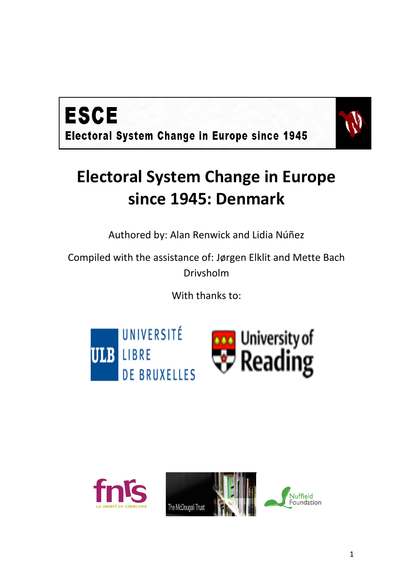



# **Electoral System Change in Europe since 1945: Denmark**

Authored by: Alan Renwick and Lidia Núñez

Compiled with the assistance of: Jørgen Elklit and Mette Bach Drivsholm

With thanks to:





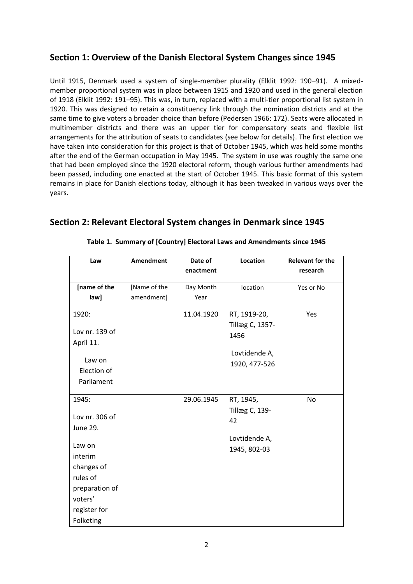## **Section 1: Overview of the Danish Electoral System Changes since 1945**

Until 1915, Denmark used a system of single-member plurality (Elklit 1992: 190–91). A mixedmember proportional system was in place between 1915 and 1920 and used in the general election of 1918 (Elklit 1992: 191–95). This was, in turn, replaced with a multi-tier proportional list system in 1920. This was designed to retain a constituency link through the nomination districts and at the same time to give voters a broader choice than before (Pedersen 1966: 172). Seats were allocated in multimember districts and there was an upper tier for compensatory seats and flexible list arrangements for the attribution of seats to candidates (see below for details). The first election we have taken into consideration for this project is that of October 1945, which was held some months after the end of the German occupation in May 1945. The system in use was roughly the same one that had been employed since the 1920 electoral reform, though various further amendments had been passed, including one enacted at the start of October 1945. This basic format of this system remains in place for Danish elections today, although it has been tweaked in various ways over the years.

# **Section 2: Relevant Electoral System changes in Denmark since 1945**

| Law            | <b>Amendment</b> | Date of    | Location        | <b>Relevant for the</b> |
|----------------|------------------|------------|-----------------|-------------------------|
|                |                  | enactment  |                 | research                |
| [name of the   | [Name of the     | Day Month  | location        | Yes or No               |
| law]           | amendment]       | Year       |                 |                         |
| 1920:          |                  | 11.04.1920 | RT, 1919-20,    | Yes                     |
|                |                  |            | Tillæg C, 1357- |                         |
| Lov nr. 139 of |                  |            | 1456            |                         |
| April 11.      |                  |            |                 |                         |
| Law on         |                  |            | Lovtidende A,   |                         |
| Election of    |                  |            | 1920, 477-526   |                         |
| Parliament     |                  |            |                 |                         |
|                |                  |            |                 |                         |
| 1945:          |                  | 29.06.1945 | RT, 1945,       | No                      |
| Lov nr. 306 of |                  |            | Tillæg C, 139-  |                         |
| June 29.       |                  |            | 42              |                         |
|                |                  |            | Lovtidende A,   |                         |
| Law on         |                  |            | 1945, 802-03    |                         |
| interim        |                  |            |                 |                         |
| changes of     |                  |            |                 |                         |
| rules of       |                  |            |                 |                         |
| preparation of |                  |            |                 |                         |
| voters'        |                  |            |                 |                         |
| register for   |                  |            |                 |                         |
| Folketing      |                  |            |                 |                         |

#### **Table 1. Summary of [Country] Electoral Laws and Amendments since 1945**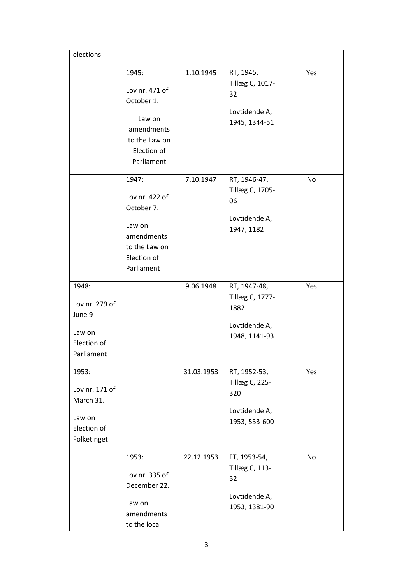| elections                            |                                                                                |            |                                                                      |     |
|--------------------------------------|--------------------------------------------------------------------------------|------------|----------------------------------------------------------------------|-----|
|                                      | 1945:<br>Lov nr. 471 of<br>October 1.<br>Law on<br>amendments<br>to the Law on | 1.10.1945  | RT, 1945,<br>Tillæg C, 1017-<br>32<br>Lovtidende A,<br>1945, 1344-51 | Yes |
|                                      | Election of<br>Parliament                                                      |            |                                                                      |     |
|                                      | 1947:                                                                          | 7.10.1947  | RT, 1946-47,                                                         | No  |
|                                      | Lov nr. 422 of<br>October 7.                                                   |            | Tillæg C, 1705-<br>06                                                |     |
|                                      | Law on<br>amendments<br>to the Law on<br>Election of<br>Parliament             |            | Lovtidende A,<br>1947, 1182                                          |     |
| 1948:<br>Lov nr. 279 of              |                                                                                | 9.06.1948  | RT, 1947-48,<br>Tillæg C, 1777-                                      | Yes |
| June 9                               |                                                                                |            | 1882                                                                 |     |
| Law on<br>Election of                |                                                                                |            | Lovtidende A,<br>1948, 1141-93                                       |     |
| Parliament                           |                                                                                |            |                                                                      |     |
| 1953:<br>Lov nr. 171 of<br>March 31. |                                                                                | 31.03.1953 | RT, 1952-53,<br>Tillæg C, 225-<br>320                                | Yes |
| Law on<br>Election of<br>Folketinget |                                                                                |            | Lovtidende A,<br>1953, 553-600                                       |     |
|                                      | 1953:<br>Lov nr. 335 of<br>December 22.                                        | 22.12.1953 | FT, 1953-54,<br>Tillæg C, 113-<br>32                                 | No  |
|                                      | Law on<br>amendments<br>to the local                                           |            | Lovtidende A,<br>1953, 1381-90                                       |     |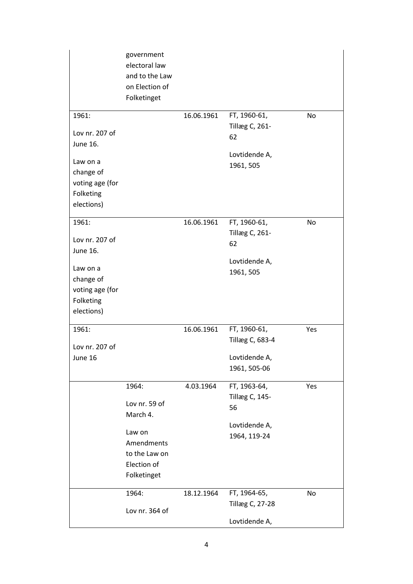|                 | government<br>electoral law<br>and to the Law<br>on Election of<br>Folketinget |            |                            |     |
|-----------------|--------------------------------------------------------------------------------|------------|----------------------------|-----|
| 1961:           |                                                                                | 16.06.1961 | FT, 1960-61,               | No  |
|                 |                                                                                |            | Tillæg C, 261-             |     |
| Lov nr. 207 of  |                                                                                |            | 62                         |     |
| <b>June 16.</b> |                                                                                |            |                            |     |
| Law on a        |                                                                                |            | Lovtidende A,<br>1961, 505 |     |
| change of       |                                                                                |            |                            |     |
| voting age (for |                                                                                |            |                            |     |
| Folketing       |                                                                                |            |                            |     |
| elections)      |                                                                                |            |                            |     |
|                 |                                                                                |            |                            |     |
| 1961:           |                                                                                | 16.06.1961 | FT, 1960-61,               | No  |
| Lov nr. 207 of  |                                                                                |            | Tillæg C, 261-             |     |
| June 16.        |                                                                                |            | 62                         |     |
|                 |                                                                                |            | Lovtidende A,              |     |
| Law on a        |                                                                                |            | 1961, 505                  |     |
| change of       |                                                                                |            |                            |     |
| voting age (for |                                                                                |            |                            |     |
| Folketing       |                                                                                |            |                            |     |
| elections)      |                                                                                |            |                            |     |
| 1961:           |                                                                                | 16.06.1961 | FT, 1960-61,               | Yes |
|                 |                                                                                |            | Tillæg C, 683-4            |     |
| Lov nr. 207 of  |                                                                                |            |                            |     |
| June 16         |                                                                                |            | Lovtidende A,              |     |
|                 |                                                                                |            | 1961, 505-06               |     |
|                 | 1964:                                                                          | 4.03.1964  | FT, 1963-64,               | Yes |
|                 |                                                                                |            | Tillæg C, 145-             |     |
|                 | Lov nr. 59 of                                                                  |            | 56                         |     |
|                 | March 4.                                                                       |            |                            |     |
|                 | Law on                                                                         |            | Lovtidende A,              |     |
|                 | Amendments                                                                     |            | 1964, 119-24               |     |
|                 | to the Law on                                                                  |            |                            |     |
|                 | Election of                                                                    |            |                            |     |
|                 | Folketinget                                                                    |            |                            |     |
|                 |                                                                                |            |                            |     |
|                 | 1964:                                                                          | 18.12.1964 | FT, 1964-65,               | No  |
|                 | Lov nr. 364 of                                                                 |            | <b>Tillæg C, 27-28</b>     |     |
|                 |                                                                                |            | Lovtidende A,              |     |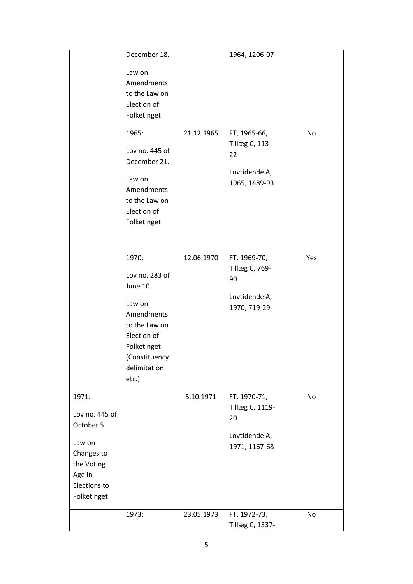|                                                                                                                      | December 18.                                                                                                                                            |            | 1964, 1206-07                                                                 |     |
|----------------------------------------------------------------------------------------------------------------------|---------------------------------------------------------------------------------------------------------------------------------------------------------|------------|-------------------------------------------------------------------------------|-----|
|                                                                                                                      | Law on<br>Amendments<br>to the Law on<br>Election of<br>Folketinget                                                                                     |            |                                                                               |     |
|                                                                                                                      | 1965:<br>Lov no. 445 of<br>December 21.<br>Law on<br>Amendments<br>to the Law on<br>Election of<br>Folketinget                                          | 21.12.1965 | FT, 1965-66,<br><b>Tillæg C, 113-</b><br>22<br>Lovtidende A,<br>1965, 1489-93 | No  |
|                                                                                                                      | 1970:<br>Lov no. 283 of<br>June 10.<br>Law on<br>Amendments<br>to the Law on<br>Election of<br>Folketinget<br>(Constituency<br>delimitation<br>$etc.$ ) | 12.06.1970 | FT, 1969-70,<br>Tillæg C, 769-<br>90<br>Lovtidende A,<br>1970, 719-29         | Yes |
| 1971:<br>Lov no. 445 of<br>October 5.<br>Law on<br>Changes to<br>the Voting<br>Age in<br>Elections to<br>Folketinget |                                                                                                                                                         | 5.10.1971  | FT, 1970-71,<br>Tillæg C, 1119-<br>20<br>Lovtidende A,<br>1971, 1167-68       | No  |
|                                                                                                                      | 1973:                                                                                                                                                   | 23.05.1973 | FT, 1972-73,<br>Tillæg C, 1337-                                               | No  |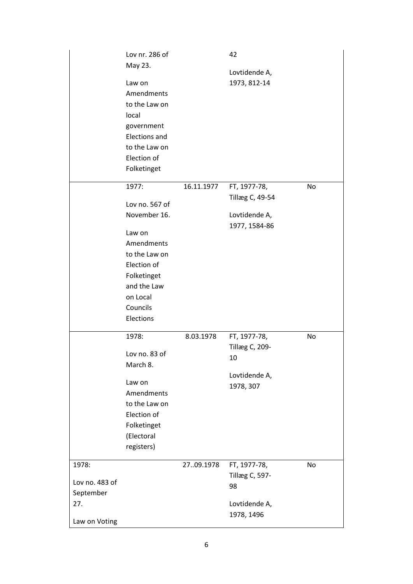|                | Lov nr. 286 of<br>May 23. |            | 42              |    |
|----------------|---------------------------|------------|-----------------|----|
|                |                           |            | Lovtidende A,   |    |
|                | Law on                    |            | 1973, 812-14    |    |
|                | Amendments                |            |                 |    |
|                | to the Law on             |            |                 |    |
|                | local                     |            |                 |    |
|                | government                |            |                 |    |
|                | <b>Elections and</b>      |            |                 |    |
|                | to the Law on             |            |                 |    |
|                | Election of               |            |                 |    |
|                | Folketinget               |            |                 |    |
|                | 1977:                     | 16.11.1977 | FT, 1977-78,    | No |
|                |                           |            | Tillæg C, 49-54 |    |
|                | Lov no. 567 of            |            |                 |    |
|                | November 16.              |            | Lovtidende A,   |    |
|                |                           |            | 1977, 1584-86   |    |
|                | Law on                    |            |                 |    |
|                | Amendments                |            |                 |    |
|                | to the Law on             |            |                 |    |
|                | Election of               |            |                 |    |
|                | Folketinget               |            |                 |    |
|                | and the Law               |            |                 |    |
|                | on Local                  |            |                 |    |
|                | Councils                  |            |                 |    |
|                | Elections                 |            |                 |    |
|                | 1978:                     | 8.03.1978  | FT, 1977-78,    | No |
|                |                           |            | Tillæg C, 209-  |    |
|                | Lov no. 83 of             |            | 10              |    |
|                | March 8.                  |            |                 |    |
|                | Law on                    |            | Lovtidende A,   |    |
|                | Amendments                |            | 1978, 307       |    |
|                | to the Law on             |            |                 |    |
|                | Election of               |            |                 |    |
|                | Folketinget               |            |                 |    |
|                | (Electoral                |            |                 |    |
|                | registers)                |            |                 |    |
|                |                           |            |                 |    |
| 1978:          |                           | 2709.1978  | FT, 1977-78,    | No |
| Lov no. 483 of |                           |            | Tillæg C, 597-  |    |
| September      |                           |            | 98              |    |
| 27.            |                           |            | Lovtidende A,   |    |
|                |                           |            | 1978, 1496      |    |
| Law on Voting  |                           |            |                 |    |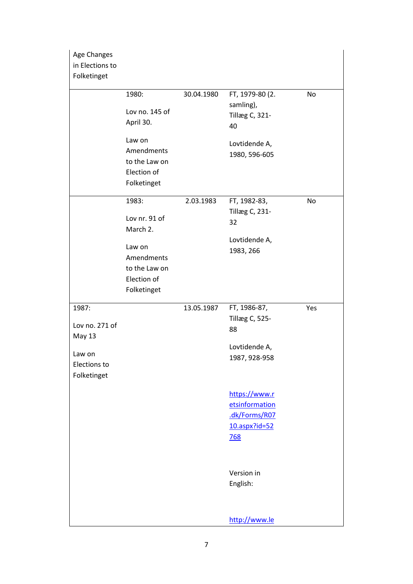| Age Changes<br>in Elections to<br>Folketinget          |  |
|--------------------------------------------------------|--|
| FT, 1979-80 (2.<br>1980:<br>30.04.1980<br>No           |  |
| samling),                                              |  |
| Lov no. 145 of<br><b>Tillæg C, 321-</b>                |  |
| April 30.<br>40                                        |  |
| Law on<br>Lovtidende A,                                |  |
| Amendments<br>1980, 596-605                            |  |
| to the Law on                                          |  |
| Election of                                            |  |
| Folketinget                                            |  |
| FT, 1982-83,<br>1983:<br>2.03.1983<br>No               |  |
| Tillæg C, 231-                                         |  |
| Lov nr. 91 of<br>32<br>March 2.                        |  |
| Lovtidende A,                                          |  |
| Law on<br>1983, 266                                    |  |
| Amendments                                             |  |
| to the Law on                                          |  |
| Election of                                            |  |
| Folketinget                                            |  |
| FT, 1986-87,<br>13.05.1987<br>1987:<br>Yes             |  |
| Tillæg C, 525-                                         |  |
| Lov no. 271 of<br>88<br>May 13                         |  |
| Lovtidende A,                                          |  |
| Law on<br>1987, 928-958<br>Elections to<br>Folketinget |  |
| https://www.r                                          |  |
| etsinformation                                         |  |
| .dk/Forms/R07                                          |  |
| $10.$ aspx?id=52                                       |  |
| <b>768</b>                                             |  |
|                                                        |  |
| Version in                                             |  |
| English:                                               |  |
|                                                        |  |
|                                                        |  |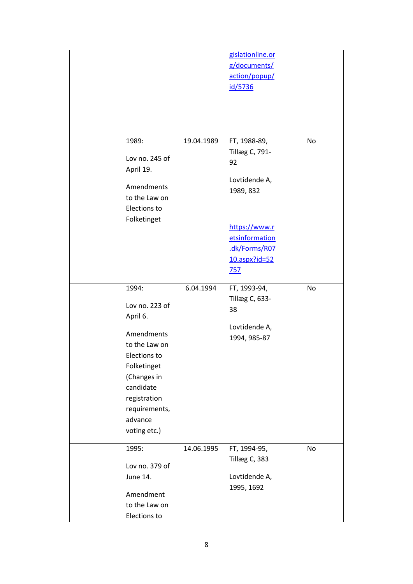|                                                                                                                                                                                           |            | gislationline.or<br>g/documents/<br>action/popup/<br>id/5736                       |    |
|-------------------------------------------------------------------------------------------------------------------------------------------------------------------------------------------|------------|------------------------------------------------------------------------------------|----|
| 1989:<br>Lov no. 245 of<br>April 19.<br>Amendments<br>to the Law on<br>Elections to<br>Folketinget                                                                                        | 19.04.1989 | FT, 1988-89,<br>Tillæg C, 791-<br>92<br>Lovtidende A,<br>1989, 832                 | No |
|                                                                                                                                                                                           |            | https://www.r<br>etsinformation<br>.dk/Forms/R07<br>$10.$ aspx?id=52<br><u>757</u> |    |
| 1994:<br>Lov no. 223 of<br>April 6.<br>Amendments<br>to the Law on<br>Elections to<br>Folketinget<br>(Changes in<br>candidate<br>registration<br>requirements,<br>advance<br>voting etc.) | 6.04.1994  | FT, 1993-94,<br>Tillæg C, 633-<br>38<br>Lovtidende A,<br>1994, 985-87              | No |
| 1995:<br>Lov no. 379 of<br>June 14.<br>Amendment<br>to the Law on<br>Elections to                                                                                                         | 14.06.1995 | FT, 1994-95,<br>Tillæg C, 383<br>Lovtidende A,<br>1995, 1692                       | No |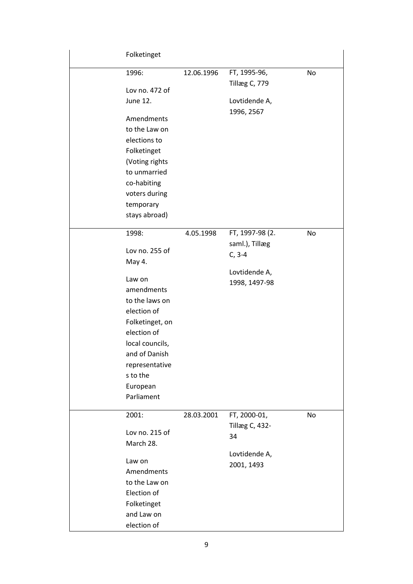| Folketinget     |            |                               |    |
|-----------------|------------|-------------------------------|----|
| 1996:           | 12.06.1996 | FT, 1995-96,<br>Tillæg C, 779 | No |
| Lov no. 472 of  |            |                               |    |
| June 12.        |            | Lovtidende A,<br>1996, 2567   |    |
| Amendments      |            |                               |    |
| to the Law on   |            |                               |    |
| elections to    |            |                               |    |
| Folketinget     |            |                               |    |
| (Voting rights  |            |                               |    |
| to unmarried    |            |                               |    |
| co-habiting     |            |                               |    |
| voters during   |            |                               |    |
| temporary       |            |                               |    |
| stays abroad)   |            |                               |    |
| 1998:           | 4.05.1998  | FT, 1997-98 (2.               | No |
| Lov no. 255 of  |            | saml.), Tillæg                |    |
| May 4.          |            | $C, 3-4$                      |    |
|                 |            | Lovtidende A,                 |    |
| Law on          |            | 1998, 1497-98                 |    |
| amendments      |            |                               |    |
| to the laws on  |            |                               |    |
| election of     |            |                               |    |
| Folketinget, on |            |                               |    |
| election of     |            |                               |    |
| local councils, |            |                               |    |
| and of Danish   |            |                               |    |
| representative  |            |                               |    |
| s to the        |            |                               |    |
| European        |            |                               |    |
| Parliament      |            |                               |    |
| 2001:           | 28.03.2001 | FT, 2000-01,                  | No |
| Lov no. 215 of  |            | <b>Tillæg C, 432-</b><br>34   |    |
| March 28.       |            |                               |    |
|                 |            | Lovtidende A,                 |    |
| Law on          |            | 2001, 1493                    |    |
| Amendments      |            |                               |    |
| to the Law on   |            |                               |    |
| Election of     |            |                               |    |
| Folketinget     |            |                               |    |
| and Law on      |            |                               |    |
| election of     |            |                               |    |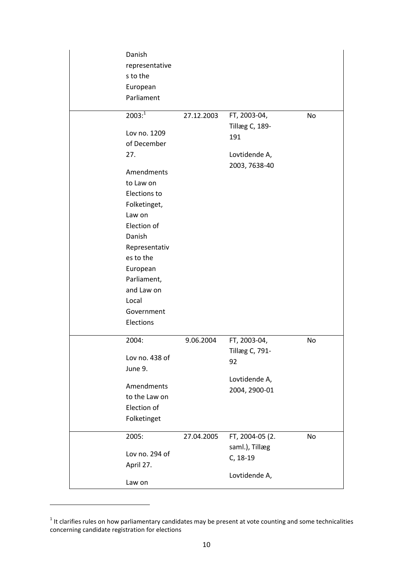| Danish<br>representative<br>s to the<br>European<br>Parliament                                                                                                                                                                                             |            |                                                                                |    |
|------------------------------------------------------------------------------------------------------------------------------------------------------------------------------------------------------------------------------------------------------------|------------|--------------------------------------------------------------------------------|----|
| $2003:^{1}$<br>Lov no. 1209<br>of December<br>27.<br>Amendments<br>to Law on<br>Elections to<br>Folketinget,<br>Law on<br>Election of<br>Danish<br>Representativ<br>es to the<br>European<br>Parliament,<br>and Law on<br>Local<br>Government<br>Elections | 27.12.2003 | FT, 2003-04,<br><b>Tillæg C, 189-</b><br>191<br>Lovtidende A,<br>2003, 7638-40 | No |
| 2004:<br>Lov no. 438 of<br>June 9.<br>Amendments<br>to the Law on<br>Election of<br>Folketinget                                                                                                                                                            | 9.06.2004  | FT, 2003-04,<br>Tillæg C, 791-<br>92<br>Lovtidende A,<br>2004, 2900-01         | No |
| 2005:<br>Lov no. 294 of<br>April 27.<br>Law on                                                                                                                                                                                                             | 27.04.2005 | FT, 2004-05 (2.<br>saml.), Tillæg<br>C, 18-19<br>Lovtidende A,                 | No |

1

 $1$  It clarifies rules on how parliamentary candidates may be present at vote counting and some technicalities concerning candidate registration for elections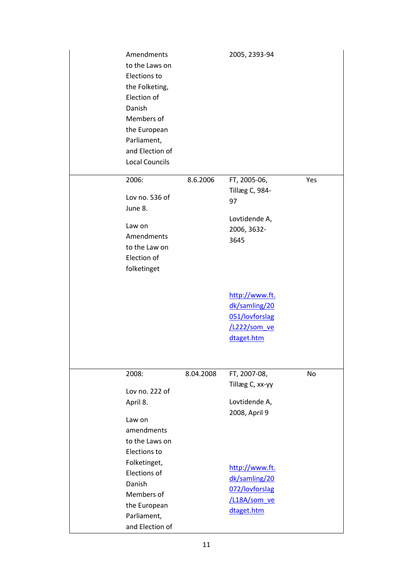| Amendments<br>to the Laws on<br>Elections to<br>the Folketing,<br>Election of<br>Danish<br>Members of<br>the European<br>Parliament,<br>and Election of<br><b>Local Councils</b> |           | 2005, 2393-94                  |     |
|----------------------------------------------------------------------------------------------------------------------------------------------------------------------------------|-----------|--------------------------------|-----|
| 2006:                                                                                                                                                                            | 8.6.2006  | FT, 2005-06,                   | Yes |
| Lov no. 536 of                                                                                                                                                                   |           | Tillæg C, 984-                 |     |
| June 8.                                                                                                                                                                          |           | 97                             |     |
|                                                                                                                                                                                  |           | Lovtidende A,                  |     |
| Law on                                                                                                                                                                           |           | 2006, 3632-                    |     |
| Amendments<br>to the Law on                                                                                                                                                      |           | 3645                           |     |
| Election of                                                                                                                                                                      |           |                                |     |
| folketinget                                                                                                                                                                      |           |                                |     |
|                                                                                                                                                                                  |           |                                |     |
|                                                                                                                                                                                  |           | http://www.ft.                 |     |
|                                                                                                                                                                                  |           | dk/samling/20                  |     |
|                                                                                                                                                                                  |           | 051/lovforslag                 |     |
|                                                                                                                                                                                  |           | /L222/som_ve                   |     |
|                                                                                                                                                                                  |           | dtaget.htm                     |     |
|                                                                                                                                                                                  |           |                                |     |
| 2008:                                                                                                                                                                            | 8.04.2008 | FT, 2007-08,                   | No  |
| Lov no. 222 of                                                                                                                                                                   |           | Tillæg C, xx-yy                |     |
| April 8.                                                                                                                                                                         |           | Lovtidende A,                  |     |
|                                                                                                                                                                                  |           | 2008, April 9                  |     |
| Law on<br>amendments                                                                                                                                                             |           |                                |     |
| to the Laws on                                                                                                                                                                   |           |                                |     |
| Elections to                                                                                                                                                                     |           |                                |     |
| Folketinget,                                                                                                                                                                     |           |                                |     |
| Elections of                                                                                                                                                                     |           | http://www.ft.                 |     |
| Danish                                                                                                                                                                           |           | dk/samling/20                  |     |
| Members of                                                                                                                                                                       |           | 072/lovforslag<br>/L18A/som ve |     |
| the European                                                                                                                                                                     |           | dtaget.htm                     |     |
| Parliament,                                                                                                                                                                      |           |                                |     |
| and Election of                                                                                                                                                                  |           |                                |     |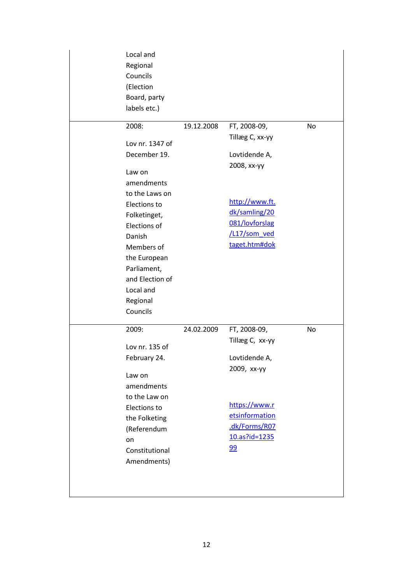| Local and<br>Regional<br>Councils<br>(Election<br>Board, party<br>labels etc.) |            |                 |    |
|--------------------------------------------------------------------------------|------------|-----------------|----|
| 2008:                                                                          | 19.12.2008 | FT, 2008-09,    | No |
| Lov nr. 1347 of                                                                |            | Tillæg C, xx-yy |    |
| December 19.                                                                   |            | Lovtidende A,   |    |
|                                                                                |            | 2008, хх-уу     |    |
| Law on                                                                         |            |                 |    |
| amendments                                                                     |            |                 |    |
| to the Laws on<br>Elections to                                                 |            | http://www.ft.  |    |
| Folketinget,                                                                   |            | dk/samling/20   |    |
| Elections of                                                                   |            | 081/lovforslag  |    |
| Danish                                                                         |            | /L17/som_ved    |    |
| Members of                                                                     |            | taget.htm#dok   |    |
| the European                                                                   |            |                 |    |
| Parliament,                                                                    |            |                 |    |
| and Election of                                                                |            |                 |    |
| Local and                                                                      |            |                 |    |
| Regional                                                                       |            |                 |    |
| Councils                                                                       |            |                 |    |
| 2009:                                                                          | 24.02.2009 | FT, 2008-09,    | No |
| Lov nr. 135 of                                                                 |            | Tillæg C, xx-yy |    |
| February 24.                                                                   |            | Lovtidende A,   |    |
| Law on                                                                         |            | 2009, хх-уу     |    |
| amendments                                                                     |            |                 |    |
| to the Law on                                                                  |            |                 |    |
| Elections to                                                                   |            | https://www.r   |    |
| the Folketing                                                                  |            | etsinformation  |    |
| (Referendum                                                                    |            | .dk/Forms/R07   |    |
| on                                                                             |            | 10.as?id=1235   |    |
| Constitutional                                                                 |            | 99              |    |
| Amendments)                                                                    |            |                 |    |
|                                                                                |            |                 |    |
|                                                                                |            |                 |    |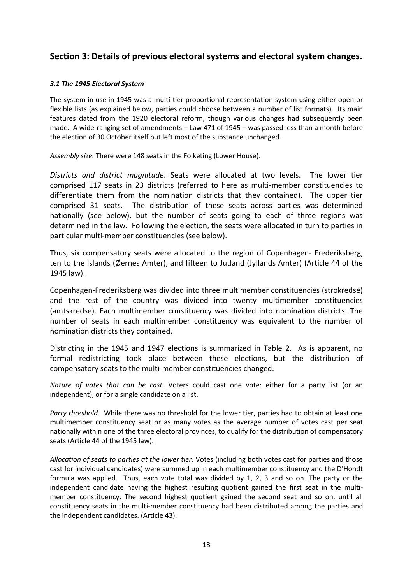# **Section 3: Details of previous electoral systems and electoral system changes.**

#### *3.1 The 1945 Electoral System*

The system in use in 1945 was a multi-tier proportional representation system using either open or flexible lists (as explained below, parties could choose between a number of list formats). Its main features dated from the 1920 electoral reform, though various changes had subsequently been made. A wide-ranging set of amendments – Law 471 of 1945 – was passed less than a month before the election of 30 October itself but left most of the substance unchanged.

*Assembly size.* There were 148 seats in the Folketing (Lower House).

*Districts and district magnitude*. Seats were allocated at two levels. The lower tier comprised 117 seats in 23 districts (referred to here as multi-member constituencies to differentiate them from the nomination districts that they contained). The upper tier comprised 31 seats. The distribution of these seats across parties was determined nationally (see below), but the number of seats going to each of three regions was determined in the law. Following the election, the seats were allocated in turn to parties in particular multi-member constituencies (see below).

Thus, six compensatory seats were allocated to the region of Copenhagen- Frederiksberg, ten to the Islands (Øernes Amter), and fifteen to Jutland (Jyllands Amter) (Article 44 of the 1945 law).

Copenhagen-Frederiksberg was divided into three multimember constituencies (strokredse) and the rest of the country was divided into twenty multimember constituencies (amtskredse). Each multimember constituency was divided into nomination districts. The number of seats in each multimember constituency was equivalent to the number of nomination districts they contained.

Districting in the 1945 and 1947 elections is summarized in Table 2. As is apparent, no formal redistricting took place between these elections, but the distribution of compensatory seats to the multi-member constituencies changed.

*Nature of votes that can be cast*. Voters could cast one vote: either for a party list (or an independent), or for a single candidate on a list.

*Party threshold*. While there was no threshold for the lower tier, parties had to obtain at least one multimember constituency seat or as many votes as the average number of votes cast per seat nationally within one of the three electoral provinces, to qualify for the distribution of compensatory seats (Article 44 of the 1945 law).

*Allocation of seats to parties at the lower tier*. Votes (including both votes cast for parties and those cast for individual candidates) were summed up in each multimember constituency and the D'Hondt formula was applied. Thus, each vote total was divided by 1, 2, 3 and so on. The party or the independent candidate having the highest resulting quotient gained the first seat in the multimember constituency. The second highest quotient gained the second seat and so on, until all constituency seats in the multi-member constituency had been distributed among the parties and the independent candidates. (Article 43).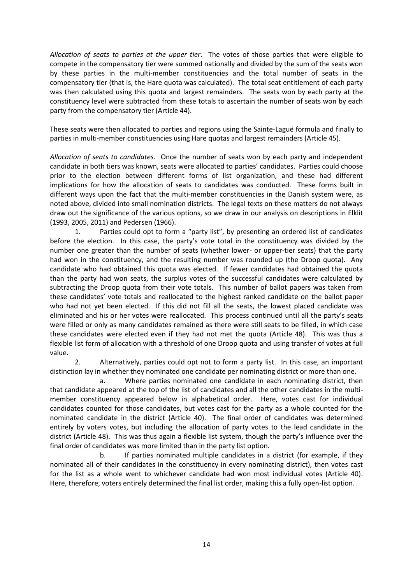*Allocation of seats to parties at the upper tier*. The votes of those parties that were eligible to compete in the compensatory tier were summed nationally and divided by the sum of the seats won by these parties in the multi-member constituencies and the total number of seats in the compensatory tier (that is, the Hare quota was calculated). The total seat entitlement of each party was then calculated using this quota and largest remainders. The seats won by each party at the constituency level were subtracted from these totals to ascertain the number of seats won by each party from the compensatory tier (Article 44).

These seats were then allocated to parties and regions using the Sainte-Laguë formula and finally to parties in multi-member constituencies using Hare quotas and largest remainders (Article 45).

*Allocation of seats to candidates*. Once the number of seats won by each party and independent candidate in both tiers was known, seats were allocated to parties' candidates. Parties could choose prior to the election between different forms of list organization, and these had different implications for how the allocation of seats to candidates was conducted. These forms built in different ways upon the fact that the multi-member constituencies in the Danish system were, as noted above, divided into small nomination districts. The legal texts on these matters do not always draw out the significance of the various options, so we draw in our analysis on descriptions in Elklit (1993, 2005, 2011) and Pedersen (1966).

1. Parties could opt to form a "party list", by presenting an ordered list of candidates before the election. In this case, the party's vote total in the constituency was divided by the number one greater than the number of seats (whether lower- or upper-tier seats) that the party had won in the constituency, and the resulting number was rounded up (the Droop quota). Any candidate who had obtained this quota was elected. If fewer candidates had obtained the quota than the party had won seats, the surplus votes of the successful candidates were calculated by subtracting the Droop quota from their vote totals. This number of ballot papers was taken from these candidates' vote totals and reallocated to the highest ranked candidate on the ballot paper who had not yet been elected. If this did not fill all the seats, the lowest placed candidate was eliminated and his or her votes were reallocated. This process continued until all the party's seats were filled or only as many candidates remained as there were still seats to be filled, in which case these candidates were elected even if they had not met the quota (Article 48). This was thus a flexible list form of allocation with a threshold of one Droop quota and using transfer of votes at full value.

2. Alternatively, parties could opt not to form a party list. In this case, an important distinction lay in whether they nominated one candidate per nominating district or more than one.

a. Where parties nominated one candidate in each nominating district, then that candidate appeared at the top of the list of candidates and all the other candidates in the multimember constituency appeared below in alphabetical order. Here, votes cast for individual candidates counted for those candidates, but votes cast for the party as a whole counted for the nominated candidate in the district (Article 40). The final order of candidates was determined entirely by voters votes, but including the allocation of party votes to the lead candidate in the district (Article 48). This was thus again a flexible list system, though the party's influence over the final order of candidates was more limited than in the party list option.

b. If parties nominated multiple candidates in a district (for example, if they nominated all of their candidates in the constituency in every nominating district), then votes cast for the list as a whole went to whichever candidate had won most individual votes (Article 40). Here, therefore, voters entirely determined the final list order, making this a fully open-list option.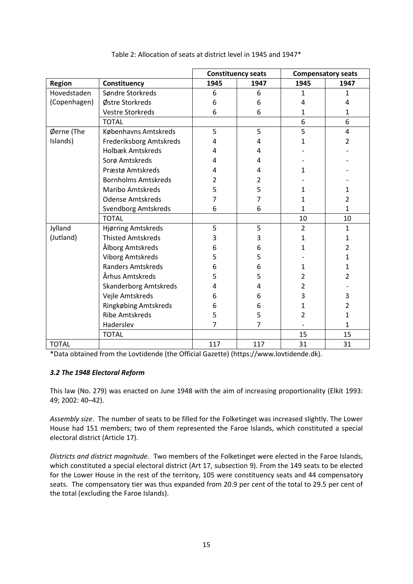|               |                              | <b>Constituency seats</b> |                | <b>Compensatory seats</b> |                |
|---------------|------------------------------|---------------------------|----------------|---------------------------|----------------|
| <b>Region</b> | Constituency                 | 1945                      | 1947           | 1945                      | 1947           |
| Hovedstaden   | Søndre Storkreds             | 6                         | 6              | 1                         | 1              |
| (Copenhagen)  | Østre Storkreds              | 6                         | 6              | 4                         | 4              |
|               | <b>Vestre Storkreds</b>      | 6                         | 6              | 1                         | 1              |
|               | <b>TOTAL</b>                 |                           |                | 6                         | 6              |
| Øerne (The    | Københavns Amtskreds         | 5                         | 5              | 5                         | 4              |
| Islands)      | Frederiksborg Amtskreds      | 4                         | 4              | 1                         | 2              |
|               | <b>Holbæk Amtskreds</b>      | 4                         | 4              |                           |                |
|               | Sorø Amtskreds               | 4                         | 4              |                           |                |
|               | Præstø Amtskreds             | 4                         | 4              | 1                         |                |
|               | <b>Bornholms Amtskreds</b>   | 2                         | 2              |                           |                |
|               | <b>Maribo Amtskreds</b>      | 5                         | 5              | 1                         | 1              |
|               | <b>Odense Amtskreds</b>      | 7                         | 7              | 1                         | $\overline{2}$ |
|               | Svendborg Amtskreds          | 6                         | 6              | 1                         | 1              |
|               | <b>TOTAL</b>                 |                           |                | 10                        | 10             |
| Jylland       | Hjørring Amtskreds           | 5                         | 5              | $\overline{2}$            | 1              |
| (Jutland)     | <b>Thisted Amtskreds</b>     | 3                         | 3              | 1                         | 1              |
|               | Ålborg Amtskreds             | 6                         | 6              | $\mathbf 1$               | $\overline{2}$ |
|               | <b>Viborg Amtskreds</b>      | 5                         | 5              |                           | $\mathbf{1}$   |
|               | <b>Randers Amtskreds</b>     | 6                         | 6              | 1                         | 1              |
|               | Århus Amtskreds              | 5                         | 5              | 2                         | $\overline{2}$ |
|               | <b>Skanderborg Amtskreds</b> | 4                         | 4              | 2                         |                |
|               | Vejle Amtskreds              | 6                         | 6              | 3                         | 3              |
|               | Ringkøbing Amtskreds         | 6                         | 6              | 1                         | $\overline{2}$ |
|               | <b>Ribe Amtskreds</b>        | 5                         | 5              | 2                         | 1              |
|               | Haderslev                    | $\overline{7}$            | $\overline{7}$ |                           | 1              |
|               | <b>TOTAL</b>                 |                           |                | 15                        | 15             |
| <b>TOTAL</b>  |                              | 117                       | 117            | 31                        | 31             |

#### Table 2: Allocation of seats at district level in 1945 and 1947\*

\*Data obtained from the Lovtidende (the Official Gazette) (https://www.lovtidende.dk).

## *3.2 The 1948 Electoral Reform*

This law (No. 279) was enacted on June 1948 with the aim of increasing proportionality (Elkit 1993: 49; 2002: 40–42).

*Assembly size*. The number of seats to be filled for the Folketinget was increased slightly. The Lower House had 151 members; two of them represented the Faroe Islands, which constituted a special electoral district (Article 17).

*Districts and district magnitude*. Two members of the Folketinget were elected in the Faroe Islands, which constituted a special electoral district (Art 17, subsection 9). From the 149 seats to be elected for the Lower House in the rest of the territory, 105 were constituency seats and 44 compensatory seats. The compensatory tier was thus expanded from 20.9 per cent of the total to 29.5 per cent of the total (excluding the Faroe Islands).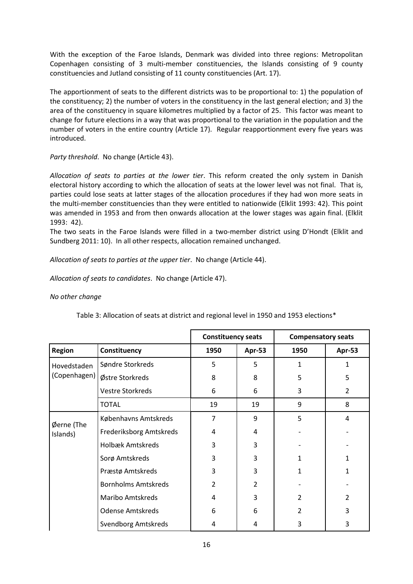With the exception of the Faroe Islands, Denmark was divided into three regions: Metropolitan Copenhagen consisting of 3 multi-member constituencies, the Islands consisting of 9 county constituencies and Jutland consisting of 11 county constituencies (Art. 17).

The apportionment of seats to the different districts was to be proportional to: 1) the population of the constituency; 2) the number of voters in the constituency in the last general election; and 3) the area of the constituency in square kilometres multiplied by a factor of 25. This factor was meant to change for future elections in a way that was proportional to the variation in the population and the number of voters in the entire country (Article 17). Regular reapportionment every five years was introduced.

*Party threshold*. No change (Article 43).

*Allocation of seats to parties at the lower tier*. This reform created the only system in Danish electoral history according to which the allocation of seats at the lower level was not final. That is, parties could lose seats at latter stages of the allocation procedures if they had won more seats in the multi-member constituencies than they were entitled to nationwide (Elklit 1993: 42). This point was amended in 1953 and from then onwards allocation at the lower stages was again final. (Elklit 1993: 42).

The two seats in the Faroe Islands were filled in a two-member district using D'Hondt (Elklit and Sundberg 2011: 10). In all other respects, allocation remained unchanged.

*Allocation of seats to parties at the upper tier*. No change (Article 44).

*Allocation of seats to candidates*. No change (Article 47).

### *No other change*

|                        |                            | <b>Constituency seats</b> |        | <b>Compensatory seats</b> |                |
|------------------------|----------------------------|---------------------------|--------|---------------------------|----------------|
| <b>Region</b>          | Constituency               | 1950                      | Apr-53 | 1950                      | Apr-53         |
| Hovedstaden            | Søndre Storkreds           | 5                         | 5      | 1                         | 1              |
| (Copenhagen)           | Østre Storkreds            | 8                         | 8      | 5                         | 5              |
|                        | <b>Vestre Storkreds</b>    | 6                         | 6      | 3                         | $\overline{2}$ |
|                        | <b>TOTAL</b>               | 19                        | 19     | 9                         | 8              |
|                        | Københavns Amtskreds       | 7                         | 9      | 5                         | 4              |
| Øerne (The<br>Islands) | Frederiksborg Amtskreds    | 4                         | 4      |                           |                |
|                        | <b>Holbæk Amtskreds</b>    | 3                         | 3      |                           |                |
|                        | Sorø Amtskreds             | 3                         | 3      | 1                         | 1              |
|                        | Præstø Amtskreds           | 3                         | 3      | 1                         | 1              |
|                        | <b>Bornholms Amtskreds</b> | $\overline{2}$            | 2      |                           |                |
|                        | <b>Maribo Amtskreds</b>    | 4                         | 3      | 2                         | $\overline{2}$ |
|                        | <b>Odense Amtskreds</b>    | 6                         | 6      | 2                         | 3              |
|                        | <b>Svendborg Amtskreds</b> | 4                         | 4      | 3                         | 3              |

Table 3: Allocation of seats at district and regional level in 1950 and 1953 elections\*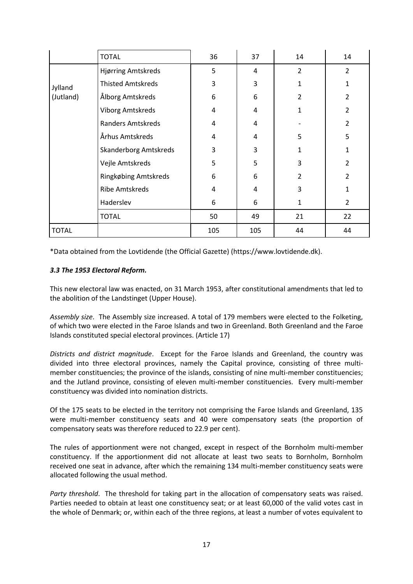|              | <b>TOTAL</b>                 | 36  | 37  | 14             | 14             |
|--------------|------------------------------|-----|-----|----------------|----------------|
|              | Hjørring Amtskreds           | 5   | 4   | 2              | $\overline{2}$ |
| Jylland      | <b>Thisted Amtskreds</b>     | 3   | 3   | 1              | 1              |
| (Jutland)    | Ålborg Amtskreds             | 6   | 6   | $\overline{2}$ | $\overline{2}$ |
|              | Viborg Amtskreds             | 4   | 4   | 1              | $\overline{2}$ |
|              | Randers Amtskreds            | 4   | 4   |                | $\overline{2}$ |
|              | Århus Amtskreds              | 4   | 4   | 5              | 5              |
|              | <b>Skanderborg Amtskreds</b> | 3   | 3   | 1              | 1              |
|              | Vejle Amtskreds              | 5   | 5   | 3              | $\overline{2}$ |
|              | Ringkøbing Amtskreds         | 6   | 6   | 2              | $\mathcal{P}$  |
|              | <b>Ribe Amtskreds</b>        | 4   | 4   | 3              | 1              |
|              | Haderslev                    | 6   | 6   | 1              | $\overline{2}$ |
|              | <b>TOTAL</b>                 | 50  | 49  | 21             | 22             |
| <b>TOTAL</b> |                              | 105 | 105 | 44             | 44             |

\*Data obtained from the Lovtidende (the Official Gazette) (https://www.lovtidende.dk).

### *3.3 The 1953 Electoral Reform.*

This new electoral law was enacted, on 31 March 1953, after constitutional amendments that led to the abolition of the Landstinget (Upper House).

*Assembly size*. The Assembly size increased. A total of 179 members were elected to the Folketing, of which two were elected in the Faroe Islands and two in Greenland. Both Greenland and the Faroe Islands constituted special electoral provinces. (Article 17)

*Districts and district magnitude*. Except for the Faroe Islands and Greenland, the country was divided into three electoral provinces, namely the Capital province, consisting of three multimember constituencies; the province of the islands, consisting of nine multi-member constituencies; and the Jutland province, consisting of eleven multi-member constituencies. Every multi-member constituency was divided into nomination districts.

Of the 175 seats to be elected in the territory not comprising the Faroe Islands and Greenland, 135 were multi-member constituency seats and 40 were compensatory seats (the proportion of compensatory seats was therefore reduced to 22.9 per cent).

The rules of apportionment were not changed, except in respect of the Bornholm multi-member constituency. If the apportionment did not allocate at least two seats to Bornholm, Bornholm received one seat in advance, after which the remaining 134 multi-member constituency seats were allocated following the usual method.

*Party threshold*. The threshold for taking part in the allocation of compensatory seats was raised. Parties needed to obtain at least one constituency seat; or at least 60,000 of the valid votes cast in the whole of Denmark; or, within each of the three regions, at least a number of votes equivalent to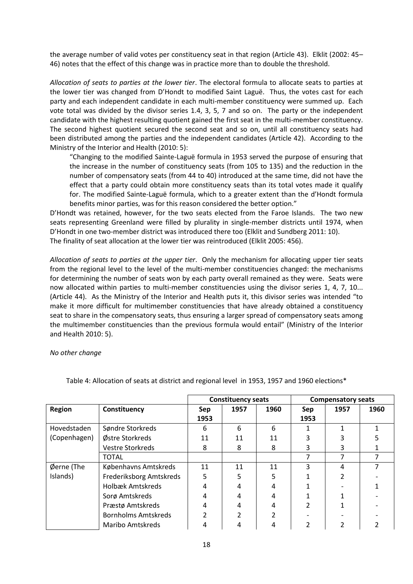the average number of valid votes per constituency seat in that region (Article 43). Elklit (2002: 45– 46) notes that the effect of this change was in practice more than to double the threshold.

*Allocation of seats to parties at the lower tier*. The electoral formula to allocate seats to parties at the lower tier was changed from D'Hondt to modified Saint Laguë. Thus, the votes cast for each party and each independent candidate in each multi-member constituency were summed up. Each vote total was divided by the divisor series 1.4, 3, 5, 7 and so on. The party or the independent candidate with the highest resulting quotient gained the first seat in the multi-member constituency. The second highest quotient secured the second seat and so on, until all constituency seats had been distributed among the parties and the independent candidates (Article 42). According to the Ministry of the Interior and Health (2010: 5):

"Changing to the modified Sainte-Laguë formula in 1953 served the purpose of ensuring that the increase in the number of constituency seats (from 105 to 135) and the reduction in the number of compensatory seats (from 44 to 40) introduced at the same time, did not have the effect that a party could obtain more constituency seats than its total votes made it qualify for. The modified Sainte-Laguë formula, which to a greater extent than the d'Hondt formula benefits minor parties, was for this reason considered the better option."

D'Hondt was retained, however, for the two seats elected from the Faroe Islands. The two new seats representing Greenland were filled by plurality in single-member districts until 1974, when D'Hondt in one two-member district was introduced there too (Elklit and Sundberg 2011: 10). The finality of seat allocation at the lower tier was reintroduced (Elklit 2005: 456).

*Allocation of seats to parties at the upper tier*. Only the mechanism for allocating upper tier seats from the regional level to the level of the multi-member constituencies changed: the mechanisms for determining the number of seats won by each party overall remained as they were. Seats were now allocated within parties to multi-member constituencies using the divisor series 1, 4, 7, 10... (Article 44). As the Ministry of the Interior and Health puts it, this divisor series was intended "to make it more difficult for multimember constituencies that have already obtained a constituency seat to share in the compensatory seats, thus ensuring a larger spread of compensatory seats among the multimember constituencies than the previous formula would entail" (Ministry of the Interior and Health 2010: 5).

#### *No other change*

|               |                            |             | <b>Constituency seats</b> |      |             | <b>Compensatory seats</b> |      |
|---------------|----------------------------|-------------|---------------------------|------|-------------|---------------------------|------|
| <b>Region</b> | Constituency               | Sep<br>1953 | 1957                      | 1960 | Sep<br>1953 | 1957                      | 1960 |
| Hovedstaden   | Søndre Storkreds           | 6           | 6                         | 6    |             |                           |      |
| (Copenhagen)  | Østre Storkreds            | 11          | 11                        | 11   |             |                           |      |
|               | <b>Vestre Storkreds</b>    | 8           | 8                         | 8    |             |                           |      |
|               | <b>TOTAL</b>               |             |                           |      |             |                           |      |
| Øerne (The    | Københavns Amtskreds       | 11          | 11                        | 11   | ς           | 4                         |      |
| Islands)      | Frederiksborg Amtskreds    | 5           | 5                         | 5    |             |                           |      |
|               | Holbæk Amtskreds           | 4           |                           |      |             |                           |      |
|               | Sorø Amtskreds             | 4           |                           |      |             |                           |      |
|               | Præstø Amtskreds           | 4           |                           |      |             |                           |      |
|               | <b>Bornholms Amtskreds</b> |             |                           |      |             |                           |      |
|               | Maribo Amtskreds           |             |                           |      |             |                           |      |

Table 4: Allocation of seats at district and regional level in 1953, 1957 and 1960 elections\*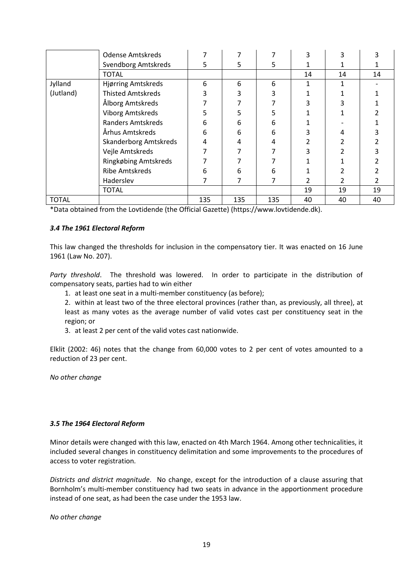|              | <b>Odense Amtskreds</b>      |     |     |     | 3  |    |    |
|--------------|------------------------------|-----|-----|-----|----|----|----|
|              | <b>Svendborg Amtskreds</b>   | 5   | 5   | 5   |    |    |    |
|              | <b>TOTAL</b>                 |     |     |     | 14 | 14 | 14 |
| Jylland      | Hjørring Amtskreds           | 6   | 6   | 6   | 1  |    |    |
| (Jutland)    | <b>Thisted Amtskreds</b>     | 3   |     | 3   |    |    |    |
|              | Ålborg Amtskreds             |     |     |     | 3  |    |    |
|              | <b>Viborg Amtskreds</b>      | 5   |     |     |    |    |    |
|              | <b>Randers Amtskreds</b>     | 6   | 6   | 6   |    |    |    |
|              | Århus Amtskreds              | 6   | 6   | 6   | 3  |    |    |
|              | <b>Skanderborg Amtskreds</b> | 4   |     | 4   |    |    |    |
|              | Vejle Amtskreds              |     |     |     |    |    |    |
|              | Ringkøbing Amtskreds         |     |     |     |    |    |    |
|              | <b>Ribe Amtskreds</b>        | 6   | 6   | 6   |    |    |    |
|              | Haderslev                    |     |     |     |    |    |    |
|              | <b>TOTAL</b>                 |     |     |     | 19 | 19 | 19 |
| <b>TOTAL</b> |                              | 135 | 135 | 135 | 40 | 40 | 40 |

\*Data obtained from the Lovtidende (the Official Gazette) (https://www.lovtidende.dk).

#### *3.4 The 1961 Electoral Reform*

This law changed the thresholds for inclusion in the compensatory tier. It was enacted on 16 June 1961 (Law No. 207).

*Party threshold*. The threshold was lowered. In order to participate in the distribution of compensatory seats, parties had to win either

1. at least one seat in a multi-member constituency (as before);

2. within at least two of the three electoral provinces (rather than, as previously, all three), at least as many votes as the average number of valid votes cast per constituency seat in the region; or

3. at least 2 per cent of the valid votes cast nationwide.

Elklit (2002: 46) notes that the change from 60,000 votes to 2 per cent of votes amounted to a reduction of 23 per cent.

*No other change*

#### *3.5 The 1964 Electoral Reform*

Minor details were changed with this law, enacted on 4th March 1964. Among other technicalities, it included several changes in constituency delimitation and some improvements to the procedures of access to voter registration.

*Districts and district magnitude*. No change, except for the introduction of a clause assuring that Bornholm's multi-member constituency had two seats in advance in the apportionment procedure instead of one seat, as had been the case under the 1953 law.

*No other change*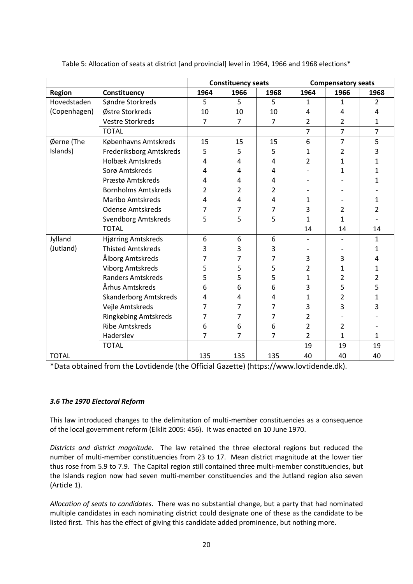|               |                              |      | <b>Constituency seats</b> |      |                | <b>Compensatory seats</b> |                |
|---------------|------------------------------|------|---------------------------|------|----------------|---------------------------|----------------|
| <b>Region</b> | Constituency                 | 1964 | 1966                      | 1968 | 1964           | 1966                      | 1968           |
| Hovedstaden   | Søndre Storkreds             | 5    | 5                         | 5    | 1              | $\mathbf{1}$              | 2              |
| (Copenhagen)  | Østre Storkreds              |      | 10                        | 10   | 4              | 4                         | 4              |
|               | <b>Vestre Storkreds</b>      | 7    | $\overline{7}$            | 7    | 2              | 2                         | 1              |
|               | <b>TOTAL</b>                 |      |                           |      | $\overline{7}$ | $\overline{7}$            | $\overline{7}$ |
| Øerne (The    | Københavns Amtskreds         | 15   | 15                        | 15   | 6              | $\overline{7}$            | 5              |
| Islands)      | Frederiksborg Amtskreds      | 5    | 5                         | 5    | 1              | 2                         | 3              |
|               | <b>Holbæk Amtskreds</b>      | 4    | 4                         | 4    | 2              | 1                         | 1              |
|               | Sorø Amtskreds               | 4    | 4                         | 4    |                | 1                         | 1              |
|               | Præstø Amtskreds             | 4    | 4                         | 4    |                |                           | 1              |
|               | <b>Bornholms Amtskreds</b>   | 2    | 2                         | 2    |                |                           |                |
|               | <b>Maribo Amtskreds</b>      | 4    | 4                         | 4    | 1              |                           | 1              |
|               | <b>Odense Amtskreds</b>      | 7    | 7                         | 7    | 3              | 2                         | 2              |
|               | <b>Svendborg Amtskreds</b>   | 5    | 5                         | 5    | $\mathbf{1}$   | $\mathbf{1}$              |                |
|               | <b>TOTAL</b>                 |      |                           |      | 14             | 14                        | 14             |
| Jylland       | Hjørring Amtskreds           | 6    | 6                         | 6    |                |                           | 1              |
| (Jutland)     | <b>Thisted Amtskreds</b>     | 3    | 3                         | 3    |                |                           | 1              |
|               | Ålborg Amtskreds             | 7    | 7                         | 7    | 3              | 3                         | 4              |
|               | <b>Viborg Amtskreds</b>      | 5    | 5                         | 5    | 2              | 1                         | 1              |
|               | <b>Randers Amtskreds</b>     | 5    | 5                         | 5    | 1              | 2                         | 2              |
|               | Århus Amtskreds              | 6    | 6                         | 6    | 3              | 5                         | 5              |
|               | <b>Skanderborg Amtskreds</b> | 4    | 4                         | 4    | $\mathbf{1}$   | 2                         | 1              |
|               | Vejle Amtskreds              | 7    | 7                         | 7    | 3              | 3                         | 3              |
|               | Ringkøbing Amtskreds         | 7    | 7                         | 7    | 2              |                           |                |
|               | <b>Ribe Amtskreds</b>        | 6    | 6                         | 6    | $\overline{2}$ | 2                         |                |
|               | Haderslev                    | 7    | 7                         | 7    | $\overline{2}$ | $\mathbf{1}$              | 1              |
|               | <b>TOTAL</b>                 |      |                           |      | 19             | 19                        | 19             |
| <b>TOTAL</b>  |                              | 135  | 135                       | 135  | 40             | 40                        | 40             |

Table 5: Allocation of seats at district [and provincial] level in 1964, 1966 and 1968 elections\*

\*Data obtained from the Lovtidende (the Official Gazette) (https://www.lovtidende.dk).

### *3.6 The 1970 Electoral Reform*

This law introduced changes to the delimitation of multi-member constituencies as a consequence of the local government reform (Elklit 2005: 456). It was enacted on 10 June 1970.

*Districts and district magnitude*. The law retained the three electoral regions but reduced the number of multi-member constituencies from 23 to 17. Mean district magnitude at the lower tier thus rose from 5.9 to 7.9. The Capital region still contained three multi-member constituencies, but the Islands region now had seven multi-member constituencies and the Jutland region also seven (Article 1).

*Allocation of seats to candidates*. There was no substantial change, but a party that had nominated multiple candidates in each nominating district could designate one of these as the candidate to be listed first. This has the effect of giving this candidate added prominence, but nothing more.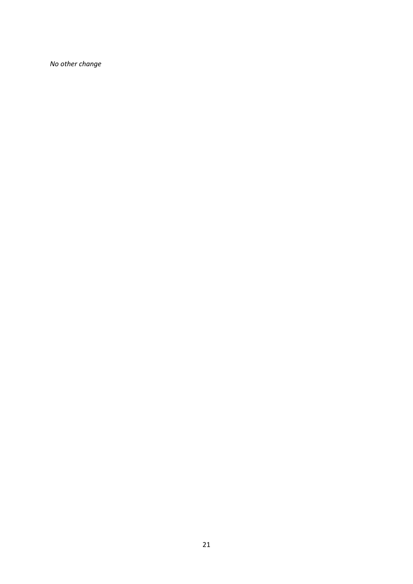*No other change*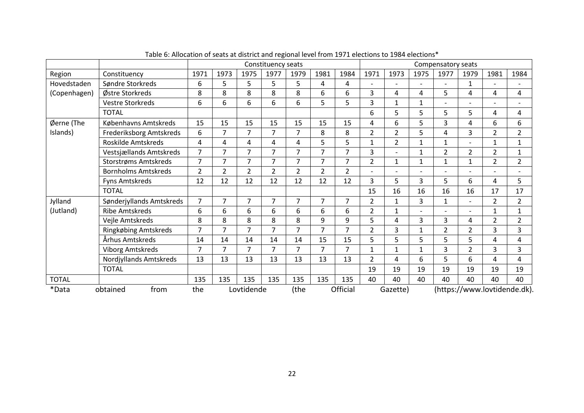|              |                            |                |                |                | Constituency seats |                |                |                |                |                |      | Compensatory seats |                          |                |                              |
|--------------|----------------------------|----------------|----------------|----------------|--------------------|----------------|----------------|----------------|----------------|----------------|------|--------------------|--------------------------|----------------|------------------------------|
| Region       | Constituency               | 1971           | 1973           | 1975           | 1977               | 1979           | 1981           | 1984           | 1971           | 1973           | 1975 | 1977               | 1979                     | 1981           | 1984                         |
| Hovedstaden  | Søndre Storkreds           | 6              | 5              | 5              | 5                  | 5              | 4              | 4              |                |                |      |                    | 1                        |                |                              |
| (Copenhagen) | Østre Storkreds            | 8              | 8              | 8              | 8                  | 8              | 6              | 6              | $\overline{3}$ | 4              | 4    | 5                  | 4                        | 4              | 4                            |
|              | <b>Vestre Storkreds</b>    | 6              | 6              | 6              | 6                  | 6              | 5              | 5              | 3              | 1              | 1    |                    |                          |                |                              |
|              | <b>TOTAL</b>               |                |                |                |                    |                |                |                | 6              | 5              | 5    | 5                  | 5                        | 4              | 4                            |
| Øerne (The   | Københavns Amtskreds       | 15             | 15             | 15             | 15                 | 15             | 15             | 15             | 4              | 6              | 5    | 3                  | 4                        | 6              | 6                            |
| Islands)     | Frederiksborg Amtskreds    | 6              | $\overline{7}$ | $\overline{7}$ | $\overline{7}$     | 7              | 8              | 8              | $\overline{2}$ | $\overline{2}$ | 5    | 4                  | 3                        | $\overline{2}$ | $\overline{2}$               |
|              | Roskilde Amtskreds         | 4              | 4              | 4              | 4                  | 4              | 5              | 5              | $\mathbf 1$    | 2              | 1    | 1                  |                          | 1              | $\mathbf{1}$                 |
|              | Vestsjællands Amtskreds    | $\overline{7}$ | $\overline{7}$ | $\overline{7}$ | $\overline{7}$     | 7              | 7              | $\overline{7}$ | $\overline{3}$ |                | 1    | $\overline{2}$     | $\overline{2}$           | $\overline{2}$ | $\mathbf{1}$                 |
|              | Storstrøms Amtskreds       | $\overline{7}$ | $\overline{7}$ | $\overline{7}$ | 7                  | $\overline{7}$ | $\overline{7}$ | 7              | $\overline{2}$ | $\mathbf{1}$   | 1    | $\mathbf{1}$       | 1                        | $\overline{2}$ | $\overline{2}$               |
|              | <b>Bornholms Amtskreds</b> | $\overline{2}$ | $\overline{2}$ | $\overline{2}$ | 2                  | $\overline{2}$ | $\overline{2}$ | $\overline{2}$ |                |                |      |                    |                          |                |                              |
|              | Fyns Amtskreds             | 12             | 12             | 12             | 12                 | 12             | 12             | 12             | 3              | 5              | 3    | 5                  | 6                        | 4              | 5                            |
|              | <b>TOTAL</b>               |                |                |                |                    |                |                |                | 15             | 16             | 16   | 16                 | 16                       | 17             | 17                           |
| Jylland      | Sønderjyllands Amtskreds   | $\overline{7}$ | $\overline{7}$ | 7              | $\overline{7}$     | $\overline{7}$ | $\overline{7}$ | $\overline{7}$ | $\overline{2}$ | $\mathbf{1}$   | 3    | $\mathbf{1}$       | $\overline{\phantom{0}}$ | $\overline{2}$ | $\overline{2}$               |
| (Jutland)    | <b>Ribe Amtskreds</b>      | 6              | 6              | 6              | 6                  | 6              | 6              | 6              | $\overline{2}$ | 1              |      |                    |                          |                | $\mathbf{1}$                 |
|              | Vejle Amtskreds            | 8              | 8              | 8              | 8                  | 8              | 9              | 9              | 5              | 4              | 3    | 3                  | 4                        | $\overline{2}$ | $\overline{2}$               |
|              | Ringkøbing Amtskreds       | $\overline{7}$ | $\overline{7}$ | $\overline{7}$ | $\overline{7}$     | $\overline{7}$ | $\overline{7}$ | $\overline{7}$ | $\overline{2}$ | 3              | 1    | $\overline{2}$     | $\overline{2}$           | 3              | 3                            |
|              | Århus Amtskreds            | 14             | 14             | 14             | 14                 | 14             | 15             | 15             | 5              | 5              | 5    | 5                  | 5                        | 4              | 4                            |
|              | <b>Viborg Amtskreds</b>    | $\overline{7}$ | $\overline{7}$ | $\overline{7}$ | 7                  | 7              | $\overline{7}$ | 7              | $\mathbf 1$    | 1              | 1    | 3                  | $\overline{2}$           | 3              | 3                            |
|              | Nordjyllands Amtskreds     | 13             | 13             | 13             | 13                 | 13             | 13             | 13             | $\overline{2}$ | 4              | 6    | 5                  | 6                        | 4              | 4                            |
|              | <b>TOTAL</b>               |                |                |                |                    |                |                |                | 19             | 19             | 19   | 19                 | 19                       | 19             | 19                           |
| <b>TOTAL</b> |                            | 135            | 135            | 135            | 135                | 135            | 135            | 135            | 40             | 40             | 40   | 40                 | 40                       | 40             | 40                           |
| *Data        | from<br>obtained           | the            |                | Lovtidende     |                    | (the           |                | Official       |                | Gazette)       |      |                    |                          |                | (https://www.lovtidende.dk). |

Table 6: Allocation of seats at district and regional level from 1971 elections to 1984 elections\*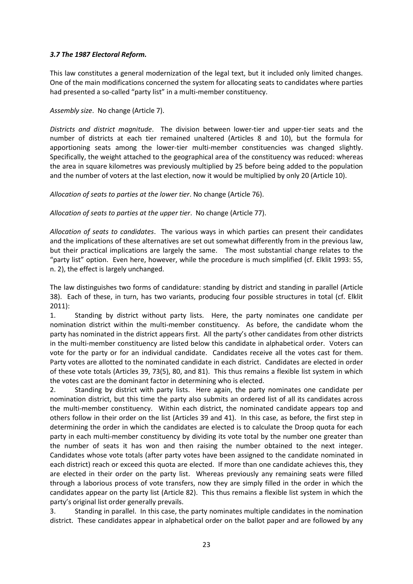#### *3.7 The 1987 Electoral Reform.*

This law constitutes a general modernization of the legal text, but it included only limited changes. One of the main modifications concerned the system for allocating seats to candidates where parties had presented a so-called "party list" in a multi-member constituency.

#### *Assembly size*. No change (Article 7).

*Districts and district magnitude*. The division between lower-tier and upper-tier seats and the number of districts at each tier remained unaltered (Articles 8 and 10), but the formula for apportioning seats among the lower-tier multi-member constituencies was changed slightly. Specifically, the weight attached to the geographical area of the constituency was reduced: whereas the area in square kilometres was previously multiplied by 25 before being added to the population and the number of voters at the last election, now it would be multiplied by only 20 (Article 10).

*Allocation of seats to parties at the lower tier*. No change (Article 76).

*Allocation of seats to parties at the upper tier*. No change (Article 77).

*Allocation of seats to candidates*. The various ways in which parties can present their candidates and the implications of these alternatives are set out somewhat differently from in the previous law, but their practical implications are largely the same. The most substantial change relates to the "party list" option. Even here, however, while the procedure is much simplified (cf. Elklit 1993: 55, n. 2), the effect is largely unchanged.

The law distinguishes two forms of candidature: standing by district and standing in parallel (Article 38). Each of these, in turn, has two variants, producing four possible structures in total (cf. Elklit 2011):

1. Standing by district without party lists. Here, the party nominates one candidate per nomination district within the multi-member constituency. As before, the candidate whom the party has nominated in the district appears first. All the party's other candidates from other districts in the multi-member constituency are listed below this candidate in alphabetical order. Voters can vote for the party or for an individual candidate. Candidates receive all the votes cast for them. Party votes are allotted to the nominated candidate in each district. Candidates are elected in order of these vote totals (Articles 39, 73(5), 80, and 81). This thus remains a flexible list system in which the votes cast are the dominant factor in determining who is elected.

2. Standing by district with party lists. Here again, the party nominates one candidate per nomination district, but this time the party also submits an ordered list of all its candidates across the multi-member constituency. Within each district, the nominated candidate appears top and others follow in their order on the list (Articles 39 and 41). In this case, as before, the first step in determining the order in which the candidates are elected is to calculate the Droop quota for each party in each multi-member constituency by dividing its vote total by the number one greater than the number of seats it has won and then raising the number obtained to the next integer. Candidates whose vote totals (after party votes have been assigned to the candidate nominated in each district) reach or exceed this quota are elected. If more than one candidate achieves this, they are elected in their order on the party list. Whereas previously any remaining seats were filled through a laborious process of vote transfers, now they are simply filled in the order in which the candidates appear on the party list (Article 82). This thus remains a flexible list system in which the party's original list order generally prevails.

3. Standing in parallel. In this case, the party nominates multiple candidates in the nomination district. These candidates appear in alphabetical order on the ballot paper and are followed by any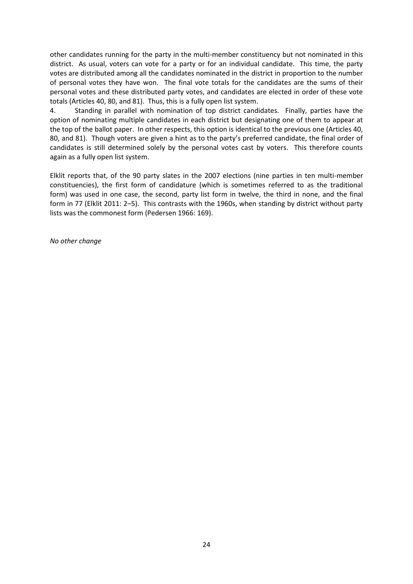other candidates running for the party in the multi-member constituency but not nominated in this district. As usual, voters can vote for a party or for an individual candidate. This time, the party votes are distributed among all the candidates nominated in the district in proportion to the number of personal votes they have won. The final vote totals for the candidates are the sums of their personal votes and these distributed party votes, and candidates are elected in order of these vote totals (Articles 40, 80, and 81). Thus, this is a fully open list system.

4. Standing in parallel with nomination of top district candidates. Finally, parties have the option of nominating multiple candidates in each district but designating one of them to appear at the top of the ballot paper. In other respects, this option is identical to the previous one (Articles 40, 80, and 81). Though voters are given a hint as to the party's preferred candidate, the final order of candidates is still determined solely by the personal votes cast by voters. This therefore counts again as a fully open list system.

Elklit reports that, of the 90 party slates in the 2007 elections (nine parties in ten multi-member constituencies), the first form of candidature (which is sometimes referred to as the traditional form) was used in one case, the second, party list form in twelve, the third in none, and the final form in 77 (Elklit 2011: 2–5). This contrasts with the 1960s, when standing by district without party lists was the commonest form (Pedersen 1966: 169).

*No other change*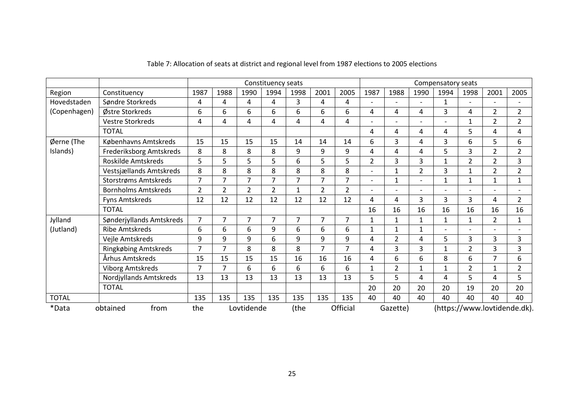|              |                            |                |                |                | Constituency seats |                |                |                |                |                |                | Compensatory seats |                |                |                              |
|--------------|----------------------------|----------------|----------------|----------------|--------------------|----------------|----------------|----------------|----------------|----------------|----------------|--------------------|----------------|----------------|------------------------------|
| Region       | Constituency               | 1987           | 1988           | 1990           | 1994               | 1998           | 2001           | 2005           | 1987           | 1988           | 1990           | 1994               | 1998           | 2001           | 2005                         |
| Hovedstaden  | Søndre Storkreds           | 4              | 4              | 4              | 4                  | 3              | 4              | 4              |                |                |                | $\mathbf{1}$       |                |                |                              |
| (Copenhagen) | Østre Storkreds            | 6              | 6              | 6              | 6                  | 6              | 6              | 6              | 4              | 4              | 4              | 3                  | 4              | $\overline{2}$ | $\overline{2}$               |
|              | <b>Vestre Storkreds</b>    | 4              | 4              | 4              | 4                  | 4              | 4              | 4              |                |                |                |                    | 1              | $\overline{2}$ | 2                            |
|              | <b>TOTAL</b>               |                |                |                |                    |                |                |                | 4              | 4              | 4              | 4                  | 5              | 4              | 4                            |
| Øerne (The   | Københavns Amtskreds       | 15             | 15             | 15             | 15                 | 14             | 14             | 14             | 6              | 3              | 4              | 3                  | 6              | 5.             | 6                            |
| Islands)     | Frederiksborg Amtskreds    | 8              | 8              | 8              | 8                  | 9              | 9              | 9              | 4              | 4              | 4              | 5                  | 3              | $\overline{2}$ | $\overline{2}$               |
|              | Roskilde Amtskreds         | 5              | 5              | 5              | 5                  | 6              | 5              | 5              | $\overline{2}$ | 3              | 3              | 1                  | 2              | $\overline{2}$ | 3                            |
|              | Vestsjællands Amtskreds    | 8              | 8              | 8              | 8                  | 8              | 8              | 8              | $\blacksquare$ | 1              | $\overline{2}$ | 3                  | 1              | $\overline{2}$ | $\overline{2}$               |
|              | Storstrøms Amtskreds       | $\overline{7}$ | $\overline{7}$ | $\overline{7}$ | $\overline{7}$     | $\overline{7}$ | $\overline{7}$ | $\overline{7}$ | $\overline{a}$ | 1              |                | $\mathbf{1}$       | 1              | 1              | $\mathbf{1}$                 |
|              | <b>Bornholms Amtskreds</b> | $\overline{2}$ | $\overline{2}$ | $\overline{2}$ | 2                  | $\mathbf{1}$   | $\overline{2}$ | $\overline{2}$ |                |                |                |                    |                |                |                              |
|              | <b>Fyns Amtskreds</b>      | 12             | 12             | 12             | 12                 | 12             | 12             | 12             | 4              | 4              | 3              | 3                  | 3              | 4              | $\overline{2}$               |
|              | <b>TOTAL</b>               |                |                |                |                    |                |                |                | 16             | 16             | 16             | 16                 | 16             | 16             | 16                           |
| Jylland      | Sønderjyllands Amtskreds   | $\overline{7}$ | $\overline{7}$ | $\overline{7}$ | 7                  | 7              | 7              | 7              | $\mathbf{1}$   | $\mathbf{1}$   | 1              | 1                  | $\mathbf{1}$   | $\overline{2}$ | $\mathbf{1}$                 |
| (Jutland)    | <b>Ribe Amtskreds</b>      | 6              | 6              | 6              | 9                  | 6              | 6              | 6              | 1              | 1              | 1              |                    |                |                |                              |
|              | Vejle Amtskreds            | 9              | 9              | 9              | 6                  | 9              | 9              | 9              | 4              | $\overline{2}$ | 4              | 5                  | 3              | 3              | 3                            |
|              | Ringkøbing Amtskreds       | $\overline{7}$ | $\overline{7}$ | 8              | 8                  | 8              | $\overline{7}$ | 7              | 4              | 3              | 3              | $\mathbf{1}$       | $\overline{2}$ | 3              | 3                            |
|              | Århus Amtskreds            | 15             | 15             | 15             | 15                 | 16             | 16             | 16             | 4              | 6              | 6              | 8                  | 6              | 7              | 6                            |
|              | <b>Viborg Amtskreds</b>    | 7              | $\overline{7}$ | 6              | 6                  | 6              | 6              | 6              | $\mathbf{1}$   | $\overline{2}$ | 1              | 1                  | $\overline{2}$ | 1              | $\overline{2}$               |
|              | Nordjyllands Amtskreds     | 13             | 13             | 13             | 13                 | 13             | 13             | 13             | 5              | 5              | 4              | 4                  | 5              | 4              | 5                            |
|              | <b>TOTAL</b>               |                |                |                |                    |                |                |                | 20             | 20             | 20             | 20                 | 19             | 20             | 20                           |
| <b>TOTAL</b> |                            | 135            | 135            | 135            | 135                | 135            | 135            | 135            | 40             | 40             | 40             | 40                 | 40             | 40             | 40                           |
| *Data        | from<br>obtained           | the            |                | Lovtidende     |                    | (the           |                | Official       |                | Gazette)       |                |                    |                |                | (https://www.lovtidende.dk). |

## Table 7: Allocation of seats at district and regional level from 1987 elections to 2005 elections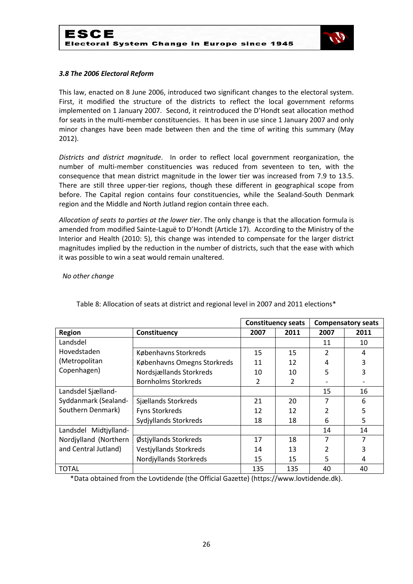

#### *3.8 The 2006 Electoral Reform*

This law, enacted on 8 June 2006, introduced two significant changes to the electoral system. First, it modified the structure of the districts to reflect the local government reforms implemented on 1 January 2007. Second, it reintroduced the D'Hondt seat allocation method for seats in the multi-member constituencies. It has been in use since 1 January 2007 and only minor changes have been made between then and the time of writing this summary (May 2012).

*Districts and district magnitude*. In order to reflect local government reorganization, the number of multi-member constituencies was reduced from seventeen to ten, with the consequence that mean district magnitude in the lower tier was increased from 7.9 to 13.5. There are still three upper-tier regions, though these different in geographical scope from before. The Capital region contains four constituencies, while the Sealand-South Denmark region and the Middle and North Jutland region contain three each.

*Allocation of seats to parties at the lower tier*. The only change is that the allocation formula is amended from modified Sainte-Laguë to D'Hondt (Article 17). According to the Ministry of the Interior and Health (2010: 5), this change was intended to compensate for the larger district magnitudes implied by the reduction in the number of districts, such that the ease with which it was possible to win a seat would remain unaltered.

#### *No other change*

|                       |                               |      | <b>Constituency seats</b> |               | <b>Compensatory seats</b> |
|-----------------------|-------------------------------|------|---------------------------|---------------|---------------------------|
| <b>Region</b>         | Constituency                  | 2007 | 2011                      | 2007          | 2011                      |
| Landsdel              |                               |      |                           | 11            | 10                        |
| Hovedstaden           | Københavns Storkreds          | 15   | 15                        | $\mathcal{P}$ | 4                         |
| (Metropolitan         | Københavns Omegns Storkreds   | 11   | 12                        | 4             | 3                         |
| Copenhagen)           | Nordsjællands Storkreds       | 10   | 10                        | 5             | 3                         |
|                       | <b>Bornholms Storkreds</b>    | 2    | 2                         |               |                           |
| Landsdel Sjælland-    |                               |      |                           | 15            | 16                        |
| Syddanmark (Sealand-  | Sjællands Storkreds           | 21   | 20                        | 7             | 6                         |
| Southern Denmark)     | <b>Fyns Storkreds</b>         | 12   | 12                        |               | 5                         |
|                       | <b>Sydjyllands Storkreds</b>  | 18   | 18                        | 6             | 5                         |
| Landsdel Midtjylland- |                               |      |                           | 14            | 14                        |
| Nordjylland (Northern | Østjyllands Storkreds         | 17   | 18                        | 7             | 7                         |
| and Central Jutland)  | <b>Vestjyllands Storkreds</b> | 14   | 13                        |               | 3                         |
|                       | Nordjyllands Storkreds        | 15   | 15                        | 5.            | 4                         |
| <b>TOTAL</b>          |                               | 135  | 135                       | 40            | 40                        |

Table 8: Allocation of seats at district and regional level in 2007 and 2011 elections\*

\*Data obtained from the Lovtidende (the Official Gazette) (https://www.lovtidende.dk).